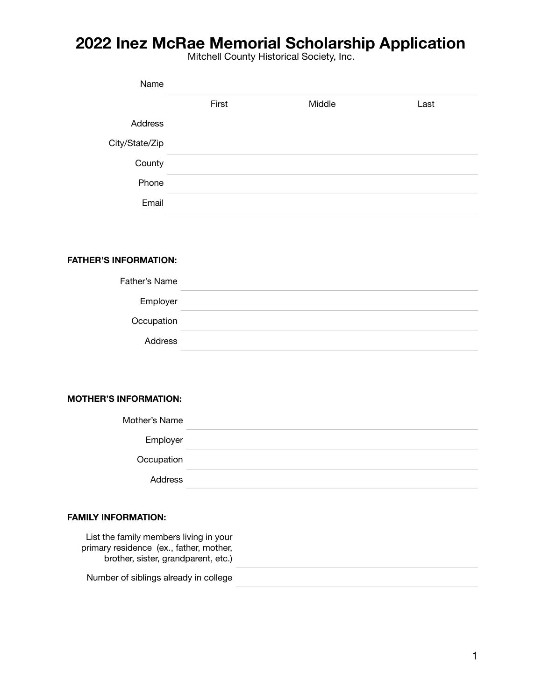Mitchell County Historical Society, Inc.

| Name           |       |        |      |
|----------------|-------|--------|------|
|                | First | Middle | Last |
| Address        |       |        |      |
| City/State/Zip |       |        |      |
| County         |       |        |      |
| Phone          |       |        |      |
| Email          |       |        |      |

## **FATHER'S INFORMATION:**

## **MOTHER'S INFORMATION:**

## **FAMILY INFORMATION:**

| List the family members living in your<br>primary residence (ex., father, mother,<br>brother, sister, grandparent, etc.) |  |
|--------------------------------------------------------------------------------------------------------------------------|--|
| Number of siblings already in college                                                                                    |  |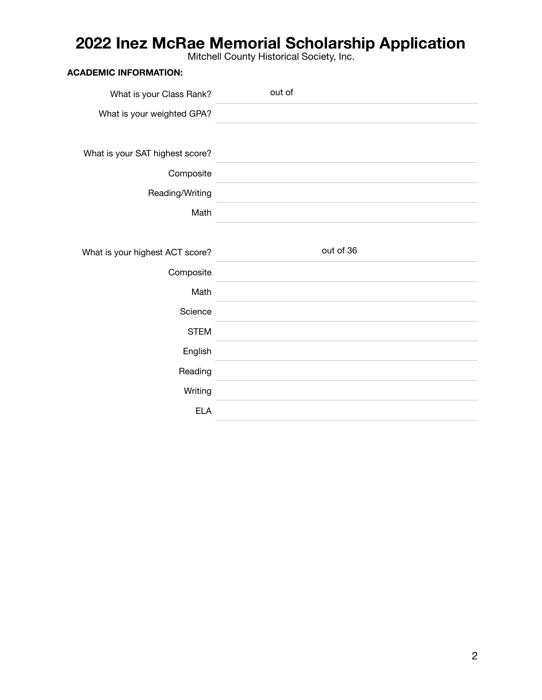Mitchell County Historical Society, Inc.

|                                 | <b>TVITION CHE OUGHTLY THISION CAT OUCKEY, THO.</b> |
|---------------------------------|-----------------------------------------------------|
| <b>ACADEMIC INFORMATION:</b>    |                                                     |
| What is your Class Rank?        | out of                                              |
| What is your weighted GPA?      |                                                     |
|                                 |                                                     |
| What is your SAT highest score? |                                                     |
| Composite                       |                                                     |
| Reading/Writing                 |                                                     |
| Math                            |                                                     |
|                                 |                                                     |
|                                 |                                                     |
| What is your highest ACT score? | out of 36                                           |
| Composite                       |                                                     |
| Math                            |                                                     |
| Science                         |                                                     |
| <b>STEM</b>                     |                                                     |
| English                         |                                                     |
| Reading                         |                                                     |
| Writing                         |                                                     |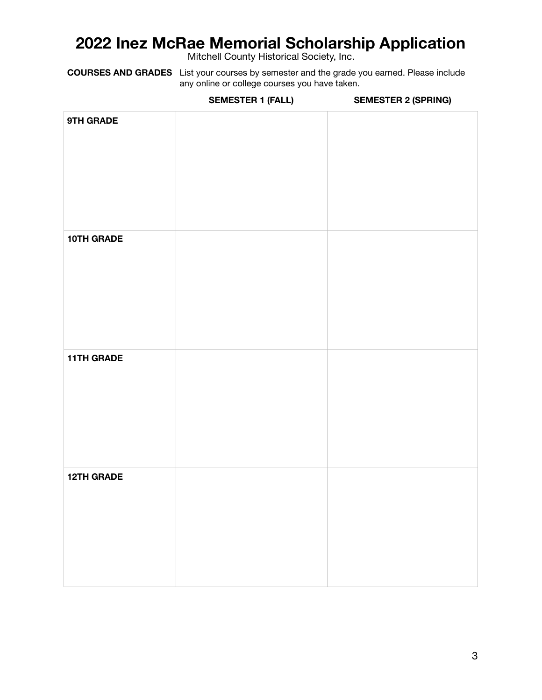Mitchell County Historical Society, Inc.

**COURSES AND GRADES** List your courses by semester and the grade you earned. Please include any online or college courses you have taken.

**SEMESTER 1 (FALL) SEMESTER 2 (SPRING)**

| 9TH GRADE         |  |
|-------------------|--|
| 10TH GRADE        |  |
| <b>11TH GRADE</b> |  |
| <b>12TH GRADE</b> |  |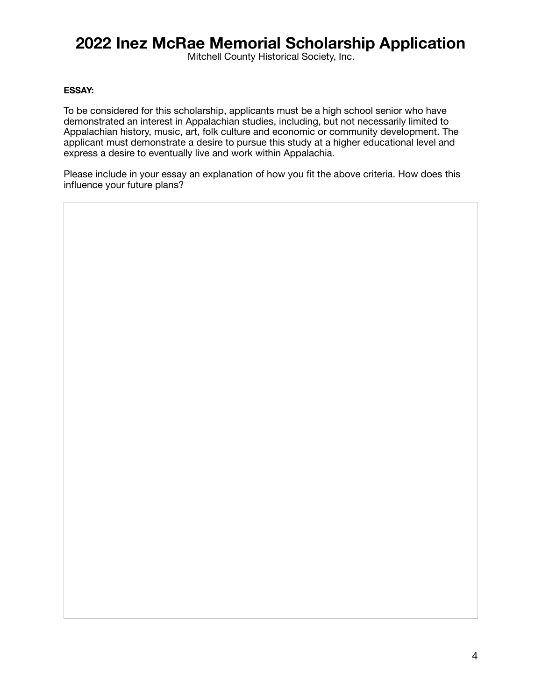Mitchell County Historical Society, Inc.

### **ESSAY:**

To be considered for this scholarship, applicants must be a high school senior who have demonstrated an interest in Appalachian studies, including, but not necessarily limited to Appalachian history, music, art, folk culture and economic or community development. The applicant must demonstrate a desire to pursue this study at a higher educational level and express a desire to eventually live and work within Appalachia.

Please include in your essay an explanation of how you fit the above criteria. How does this influence your future plans?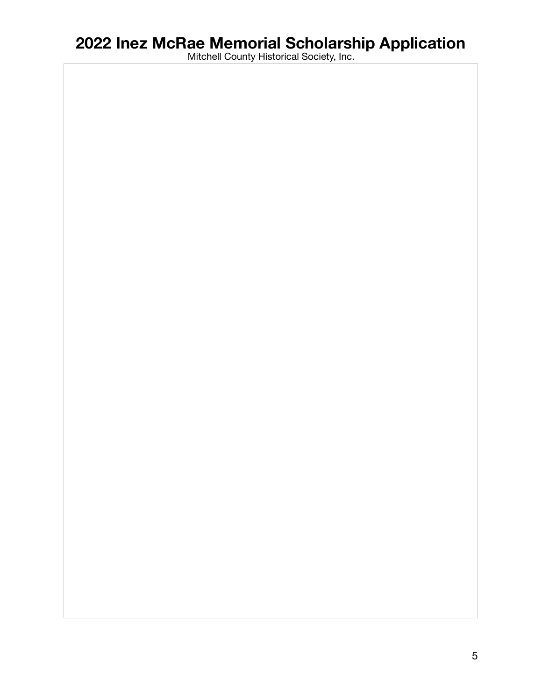Mitchell County Historical Society, Inc.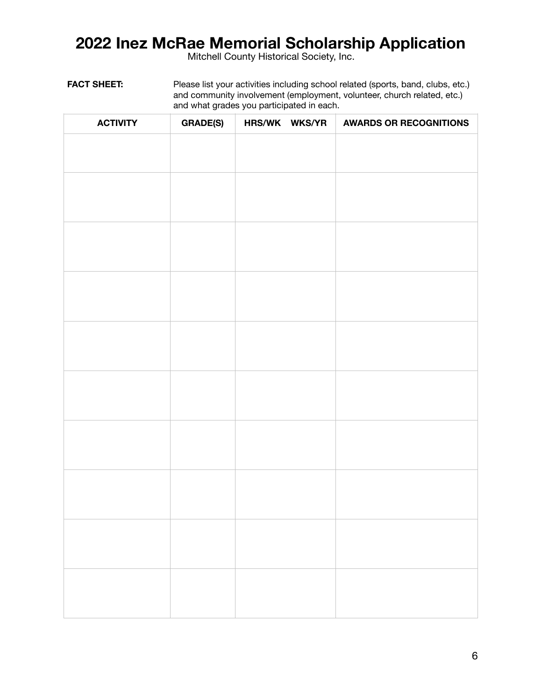Mitchell County Historical Society, Inc.

FACT SHEET: Please list your activities including school related (sports, band, clubs, etc.) and community involvement (employment, volunteer, church related, etc.) and what grades you participated in each.

| <b>ACTIVITY</b> | <b>GRADE(S)</b> | HRS/WK WKS/YR | <b>AWARDS OR RECOGNITIONS</b> |
|-----------------|-----------------|---------------|-------------------------------|
|                 |                 |               |                               |
|                 |                 |               |                               |
|                 |                 |               |                               |
|                 |                 |               |                               |
|                 |                 |               |                               |
|                 |                 |               |                               |
|                 |                 |               |                               |
|                 |                 |               |                               |
|                 |                 |               |                               |
|                 |                 |               |                               |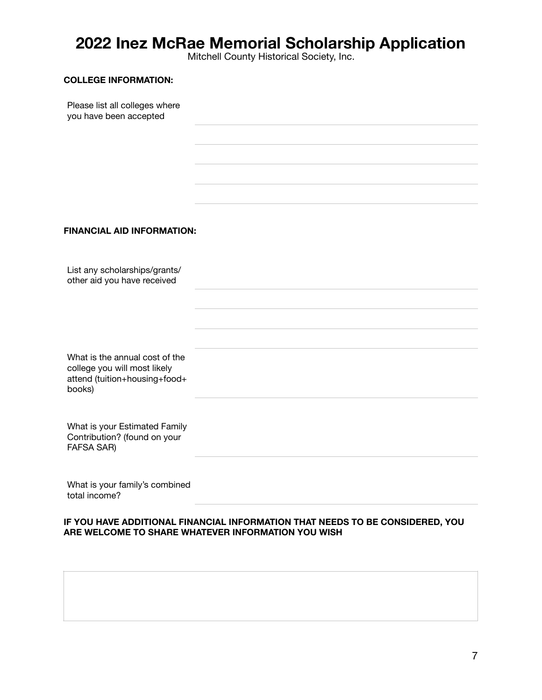Mitchell County Historical Society, Inc.

#### **COLLEGE INFORMATION:**

Please list all colleges where you have been accepted

## **FINANCIAL AID INFORMATION:**

List any scholarships/grants/ other aid you have received

What is the annual cost of the college you will most likely attend (tuition+housing+food+ books)

What is your Estimated Family Contribution? (found on your FAFSA SAR)

What is your family's combined total income?

#### **IF YOU HAVE ADDITIONAL FINANCIAL INFORMATION THAT NEEDS TO BE CONSIDERED, YOU ARE WELCOME TO SHARE WHATEVER INFORMATION YOU WISH**